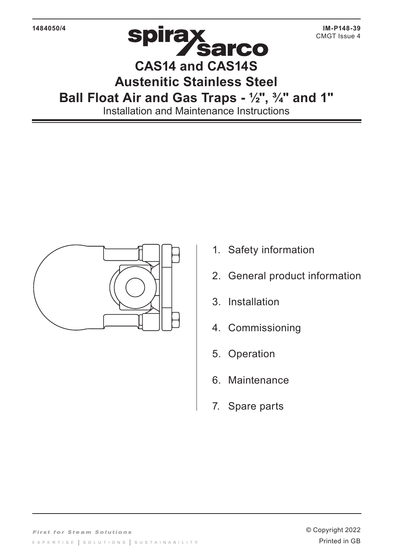**IM-P148-39**  CMGT Issue 4

# **Spirax<br>CAS14 and CAS14S Austenitic Stainless Steel Ball Float Air and Gas Traps - ½", ¾" and 1"** Installation and Maintenance Instructions

- 1. Safety information
- 2. General product information
- 3. Installation
- 4. Commissioning
- 5. Operation
- 6. Maintenance
- 7. Spare parts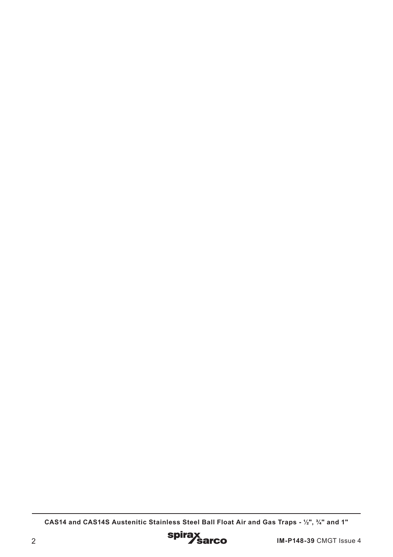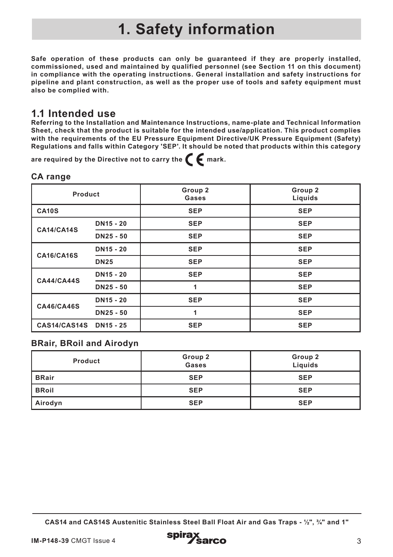## **1. Safety information**

**Safe operation of these products can only be guaranteed if they are properly installed, commissioned, used and maintained by qualified personnel (see Section 11 on this document) in compliance with the operating instructions. General installation and safety instructions for pipeline and plant construction, as well as the proper use of tools and safety equipment must also be complied with.**

### **1.1 Intended use**

**Referring to the Installation and Maintenance Instructions, name-plate and Technical Information Sheet, check that the product is suitable for the intended use/application. This product complies with the requirements of the EU Pressure Equipment Directive/UK Pressure Equipment (Safety) Regulations and falls within Category 'SEP'. It should be noted that products within this category** 

are required by the Directive not to carry the  $\epsilon$  mark.

| Product              |             | Group 2<br>Gases | Group 2<br>Liquids |  |
|----------------------|-------------|------------------|--------------------|--|
| <b>CA10S</b>         |             | <b>SEP</b>       | <b>SEP</b>         |  |
|                      | DN15 - 20   | <b>SEP</b>       | <b>SEP</b>         |  |
| <b>CA14/CA14S</b>    | DN25 - 50   | <b>SEP</b>       | <b>SEP</b>         |  |
| <b>CA16/CA16S</b>    | DN15 - 20   | <b>SEP</b>       | <b>SEP</b>         |  |
|                      | <b>DN25</b> | <b>SEP</b>       | <b>SEP</b>         |  |
| <b>CA44/CA44S</b>    | DN15 - 20   | <b>SEP</b>       | <b>SEP</b>         |  |
|                      | DN25 - 50   | 1                | <b>SEP</b>         |  |
| <b>CA46/CA46S</b>    | DN15 - 20   | <b>SEP</b>       | <b>SEP</b>         |  |
|                      | DN25 - 50   | 1                | <b>SEP</b>         |  |
| CAS14/CAS14S DN15-25 |             | <b>SEP</b>       | <b>SEP</b>         |  |

#### **CA range**

#### **BRair, BRoil and Airodyn**

| Product      | Group 2<br>Gases | Group 2<br>Liquids |
|--------------|------------------|--------------------|
| <b>BRair</b> | <b>SEP</b>       | <b>SEP</b>         |
| <b>BRoil</b> | <b>SEP</b>       | <b>SEP</b>         |
| Airodyn      | <b>SEP</b>       | <b>SEP</b>         |

**CAS14 and CAS14S Austenitic Stainless Steel Ball Float Air and Gas Traps - ½", ¾" and 1"**

**IM-P148-39 CMGT Issue 4 Spirax Spirace** 3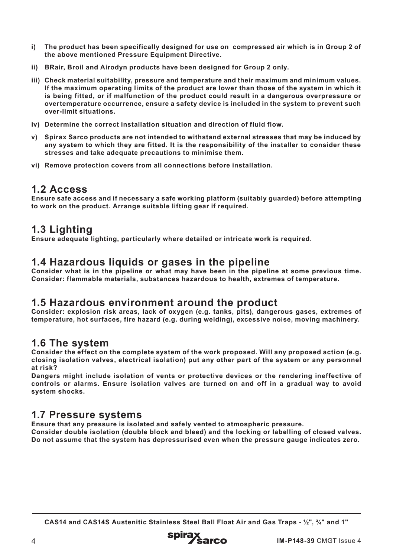- **i) The product has been specifically designed for use on compressed air which is in Group 2 of the above mentioned Pressure Equipment Directive.**
- **ii) BRair, Broil and Airodyn products have been designed for Group 2 only.**
- **iii) Check material suitability, pressure and temperature and their maximum and minimum values. If the maximum operating limits of the product are lower than those of the system in which it is being fitted, or if malfunction of the product could result in a dangerous overpressure or overtemperature occurrence, ensure a safety device is included in the system to prevent such over-limit situations.**
- **iv) Determine the correct installation situation and direction of fluid flow.**
- **v) Spirax Sarco products are not intended to withstand external stresses that may be induced by any system to which they are fitted. It is the responsibility of the installer to consider these stresses and take adequate precautions to minimise them.**
- **vi) Remove protection covers from all connections before installation.**

## **1.2 Access**

**Ensure safe access and if necessary a safe working platform (suitably guarded) before attempting to work on the product. Arrange suitable lifting gear if required.**

## **1.3 Lighting**

**Ensure adequate lighting, particularly where detailed or intricate work is required.**

### **1.4 Hazardous liquids or gases in the pipeline**

**Consider what is in the pipeline or what may have been in the pipeline at some previous time. Consider: flammable materials, substances hazardous to health, extremes of temperature.**

### **1.5 Hazardous environment around the product**

**Consider: explosion risk areas, lack of oxygen (e.g. tanks, pits), dangerous gases, extremes of temperature, hot surfaces, fire hazard (e.g. during welding), excessive noise, moving machinery.**

### **1.6 The system**

**Consider the effect on the complete system of the work proposed. Will any proposed action (e.g. closing isolation valves, electrical isolation) put any other part of the system or any personnel at risk?**

**Dangers might include isolation of vents or protective devices or the rendering ineffective of controls or alarms. Ensure isolation valves are turned on and off in a gradual way to avoid system shocks.**

### **1.7 Pressure systems**

**Ensure that any pressure is isolated and safely vented to atmospheric pressure.**

**Consider double isolation (double block and bleed) and the locking or labelling of closed valves. Do not assume that the system has depressurised even when the pressure gauge indicates zero.**

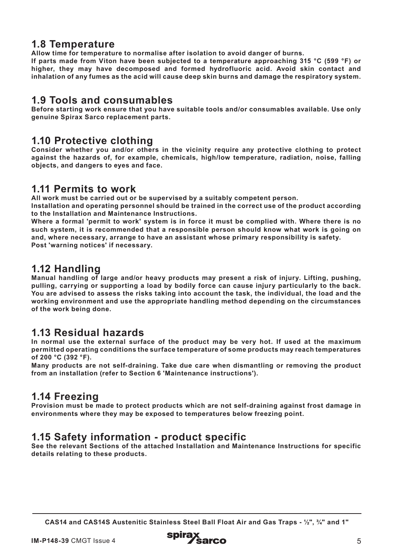### **1.8 Temperature**

**Allow time for temperature to normalise after isolation to avoid danger of burns.**

**If parts made from Viton have been subjected to a temperature approaching 315 °C (599 °F) or higher, they may have decomposed and formed hydrofluoric acid. Avoid skin contact and inhalation of any fumes as the acid will cause deep skin burns and damage the respiratory system.**

## **1.9 Tools and consumables**

**Before starting work ensure that you have suitable tools and/or consumables available. Use only genuine Spirax Sarco replacement parts.**

## **1.10 Protective clothing**

**Consider whether you and/or others in the vicinity require any protective clothing to protect against the hazards of, for example, chemicals, high/low temperature, radiation, noise, falling objects, and dangers to eyes and face.**

## **1.11 Permits to work**

**All work must be carried out or be supervised by a suitably competent person.**

**Installation and operating personnel should be trained in the correct use of the product according to the Installation and Maintenance Instructions.**

**Where a formal 'permit to work' system is in force it must be complied with. Where there is no such system, it is recommended that a responsible person should know what work is going on and, where necessary, arrange to have an assistant whose primary responsibility is safety. Post 'warning notices' if necessary.**

## **1.12 Handling**

**Manual handling of large and/or heavy products may present a risk of injury. Lifting, pushing, pulling, carrying or supporting a load by bodily force can cause injury particularly to the back. You are advised to assess the risks taking into account the task, the individual, the load and the working environment and use the appropriate handling method depending on the circumstances of the work being done.**

## **1.13 Residual hazards**

**In normal use the external surface of the product may be very hot. If used at the maximum permitted operating conditions the surface temperature of some products may reach temperatures of 200 °C (392 °F).**

**Many products are not self-draining. Take due care when dismantling or removing the product from an installation (refer to Section 6 'Maintenance instructions').**

## **1.14 Freezing**

**Provision must be made to protect products which are not self-draining against frost damage in environments where they may be exposed to temperatures below freezing point.**

## **1.15 Safety information - product specific**

**See the relevant Sections of the attached Installation and Maintenance Instructions for specific details relating to these products.**

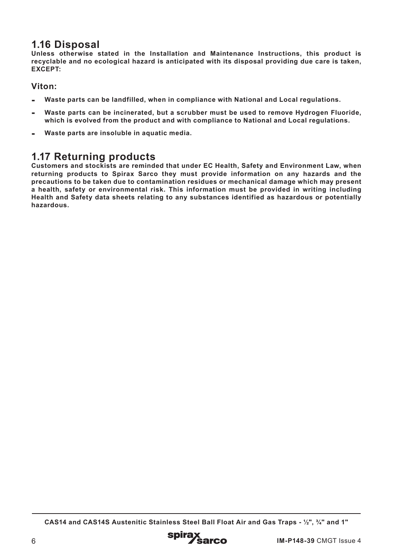## **1.16 Disposal**

**Unless otherwise stated in the Installation and Maintenance Instructions, this product is recyclable and no ecological hazard is anticipated with its disposal providing due care is taken, EXCEPT:**

#### **Viton:**

- **Waste parts can be landfilled, when in compliance with National and Local regulations.**
- **Waste parts can be incinerated, but a scrubber must be used to remove Hydrogen Fluoride, which is evolved from the product and with compliance to National and Local regulations.**
- **Waste parts are insoluble in aquatic media.**

## **1.17 Returning products**

**Customers and stockists are reminded that under EC Health, Safety and Environment Law, when returning products to Spirax Sarco they must provide information on any hazards and the precautions to be taken due to contamination residues or mechanical damage which may present a health, safety or environmental risk. This information must be provided in writing including Health and Safety data sheets relating to any substances identified as hazardous or potentially hazardous.**

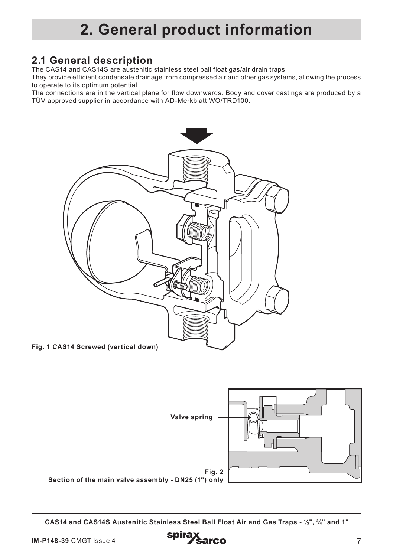## **2. General product information**

## **2.1 General description**

The CAS14 and CAS14S are austenitic stainless steel ball float gas/air drain traps.

They provide efficient condensate drainage from compressed air and other gas systems, allowing the process to operate to its optimum potential.

The connections are in the vertical plane for flow downwards. Body and cover castings are produced by a TÜV approved supplier in accordance with AD-Merkblatt WO/TRD100.





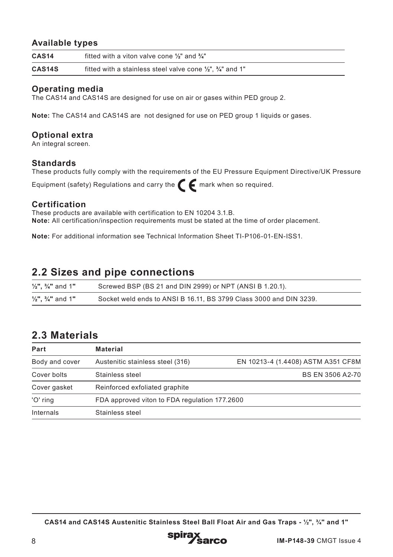#### **Available types**

| CAS <sub>14</sub><br>fitted with a viton valve cone $\frac{1}{2}$ " and $\frac{3}{4}$ " |                                                                               |
|-----------------------------------------------------------------------------------------|-------------------------------------------------------------------------------|
| CAS <sub>14</sub> S                                                                     | fitted with a stainless steel valve cone $\frac{1}{2}$ , $\frac{3}{4}$ and 1" |

#### **Operating media**

The CAS14 and CAS14S are designed for use on air or gases within PED group 2.

Note: The CAS14 and CAS14S are not designed for use on PED group 1 liquids or gases.

#### **Optional extra**

An integral screen.

#### **Standards**

These products fully comply with the requirements of the EU Pressure Equipment Directive/UK Pressure

Equipment (safety) Regulations and carry the  $\left\{ \right. \right.$  mark when so required.

#### **Certification**

These products are available with certification to EN 10204 3.1.B. **Note:** All certification/inspection requirements must be stated at the time of order placement.

**Note:** For additional information see Technical Information Sheet TI-P106-01-EN-ISS1.

## **2.2 Sizes and pipe connections**

| $\frac{1}{2}$ , $\frac{3}{4}$ and 1"    | Screwed BSP (BS 21 and DIN 2999) or NPT (ANSI B 1.20.1).           |
|-----------------------------------------|--------------------------------------------------------------------|
| $\frac{1}{2}$ ", $\frac{3}{4}$ " and 1" | Socket weld ends to ANSI B 16.11, BS 3799 Class 3000 and DIN 3239. |

## **2.3 Materials**

| Part           | Material                                      |                                    |  |
|----------------|-----------------------------------------------|------------------------------------|--|
| Body and cover | Austenitic stainless steel (316)              | EN 10213-4 (1.4408) ASTM A351 CF8M |  |
| Cover bolts    | Stainless steel                               | BS EN 3506 A2-70                   |  |
| Cover gasket   | Reinforced exfoliated graphite                |                                    |  |
| 'O' ring       | FDA approved viton to FDA regulation 177.2600 |                                    |  |
| Internals      | Stainless steel                               |                                    |  |

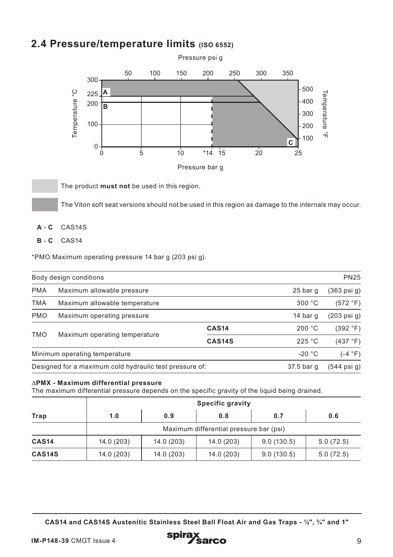## **2.4 Pressure/temperature limits (ISO 6552)**



The product **must not** be used in this region.

The Viton soft seat versions should not be used in this region as damage to the internals may occur.

#### **A** - **C** CAS14S

#### **B** - **C** CAS14

\*PMO Maximum operating pressure 14 bar g (203 psi g).

|                                                         | Body design conditions        |                     |             | <b>PN25</b>            |
|---------------------------------------------------------|-------------------------------|---------------------|-------------|------------------------|
| <b>PMA</b>                                              | Maximum allowable pressure    |                     | 25 bar q    | $(363 \text{ psi } q)$ |
| <b>TMA</b>                                              | Maximum allowable temperature |                     | 300 °C      | (572 °F)               |
| <b>PMO</b>                                              | Maximum operating pressure    |                     | 14 bar q    | (203 psi g)            |
| <b>TMO</b>                                              |                               | CAS <sub>14</sub>   | 200 °C      | (392 °F)               |
|                                                         | Maximum operating temperature | CAS <sub>14</sub> S | 225 °C      | (437 °F)               |
| Minimum operating temperature                           |                               |                     | $-20 °C$    | $(-4 °F)$              |
| Designed for a maximum cold hydraulic test pressure of: |                               | 37.5 bar q          | (544 psi q) |                        |

#### **PMX - Maximum differential pressure**

The maximum differential pressure depends on the specific gravity of the liquid being drained.

|                     | Specific gravity                        |            |            |            |           |  |
|---------------------|-----------------------------------------|------------|------------|------------|-----------|--|
| Trap                | 1.0                                     | 0.9        | 0.8        | 0.7        | 0.6       |  |
|                     | Maximum differential pressure bar (psi) |            |            |            |           |  |
| CAS <sub>14</sub>   | 14.0 (203)                              | 14.0 (203) | 14.0 (203) | 9.0(130.5) | 5.0(72.5) |  |
| CAS <sub>14</sub> S | 14.0 (203)                              | 14.0 (203) | 14.0 (203) | 9.0(130.5) | 5.0(72.5) |  |

**CAS14 and CAS14S Austenitic Stainless Steel Ball Float Air and Gas Traps - ½", ¾" and 1"**

**IM-P148-39 CMGT Issue 4 5pirax 5pirax 6pirax 6pirax 6pirax 6pirax 6pirax 6pirax 6pirax 6pirax 6pirax 6pirax 6pirax 6pirax 6pirax 6pirax 6pirax 6pirax 6pirax 6pirax 6pirax 6pirax 6pirax 6pirax 6pirax 6pirax 6pirax 6pirax 6**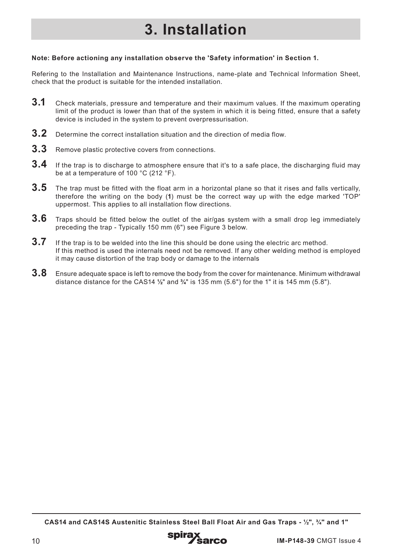## **3. Installation**

#### **Note: Before actioning any installation observe the 'Safety information' in Section 1.**

Refering to the Installation and Maintenance Instructions, name-plate and Technical Information Sheet, check that the product is suitable for the intended installation.

- **3.1** Check materials, pressure and temperature and their maximum values. If the maximum operating limit of the product is lower than that of the system in which it is being fitted, ensure that a safety device is included in the system to prevent overpressurisation.
- **3.2** Determine the correct installation situation and the direction of media flow.
- **3.3** Remove plastic protective covers from connections.
- **3.4** If the trap is to discharge to atmosphere ensure that it's to a safe place, the discharging fluid may be at a temperature of 100 °C (212 °F).
- **3.5** The trap must be fitted with the float arm in a horizontal plane so that it rises and falls vertically, therefore the writing on the body (**1**) must be the correct way up with the edge marked 'TOP' uppermost. This applies to all installation flow directions.
- **3.6** Traps should be fitted below the outlet of the air/gas system with a small drop leg immediately preceding the trap - Typically 150 mm (6") see Figure 3 below.
- **3.7** If the trap is to be welded into the line this should be done using the electric arc method. If this method is used the internals need not be removed. If any other welding method is employed it may cause distortion of the trap body or damage to the internals
- **3.8** Ensure adequate space is left to remove the body from the cover for maintenance. Minimum withdrawal distance distance for the CAS14 **½**" and **¾**" is 135 mm (5.6") for the 1" it is 145 mm (5.8").

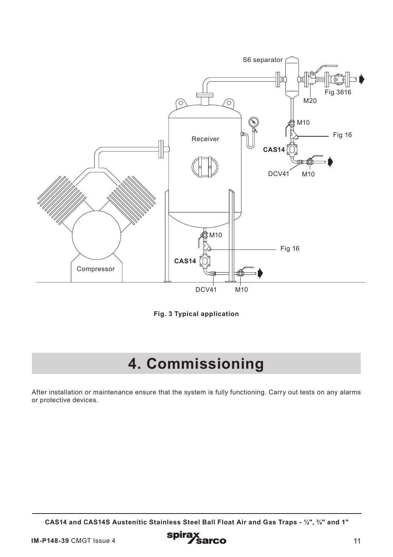

**Fig. 3 Typical application** 

## **4. Commissioning**

After installation or maintenance ensure that the system is fully functioning. Carry out tests on any alarms or protective devices.

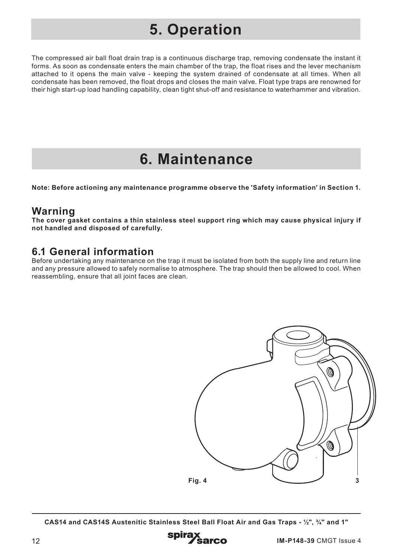## **5. Operation**

The compressed air ball float drain trap is a continuous discharge trap, removing condensate the instant it forms. As soon as condensate enters the main chamber of the trap, the float rises and the lever mechanism attached to it opens the main valve - keeping the system drained of condensate at all times. When all condensate has been removed, the float drops and closes the main valve. Float type traps are renowned for their high start-up load handling capability, clean tight shut-off and resistance to waterhammer and vibration.

## **6. Maintenance**

**Note: Before actioning any maintenance programme observe the 'Safety information' in Section 1.**

## **Warning**

**The cover gasket contains a thin stainless steel support ring which may cause physical injury if not handled and disposed of carefully.**

## **6.1 General information**

Before undertaking any maintenance on the trap it must be isolated from both the supply line and return line and any pressure allowed to safely normalise to atmosphere. The trap should then be allowed to cool. When reassembling, ensure that all joint faces are clean.



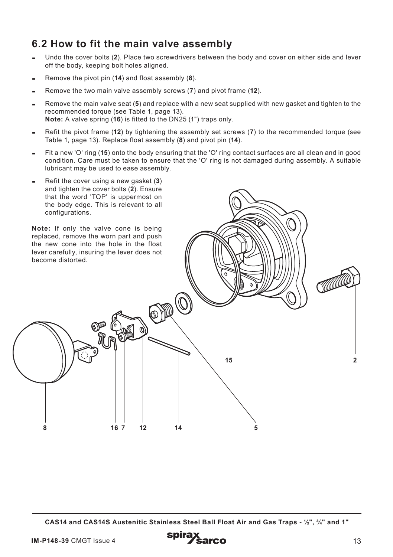## **6.2 How to fit the main valve assembly**

- **-** Undo the cover bolts (**2**). Place two screwdrivers between the body and cover on either side and lever off the body, keeping bolt holes aligned.
- **-** Remove the pivot pin (**14**) and float assembly (**8**).
- **-** Remove the two main valve assembly screws (**7**) and pivot frame (**12**).
- **-** Remove the main valve seat (**5**) and replace with a new seat supplied with new gasket and tighten to the recommended torque (see Table 1, page 13). **Note:** A valve spring (**16**) is fitted to the DN25 (1") traps only.
- **-** Refit the pivot frame (**12**) by tightening the assembly set screws (**7**) to the recommended torque (see Table 1, page 13). Replace float assembly (**8**) and pivot pin (**14**).
- **-** Fit a new 'O' ring (**15**) onto the body ensuring that the 'O' ring contact surfaces are all clean and in good condition. Care must be taken to ensure that the 'O' ring is not damaged during assembly. A suitable lubricant may be used to ease assembly.



**CAS14 and CAS14S Austenitic Stainless Steel Ball Float Air and Gas Traps - ½", ¾" and 1"**

spira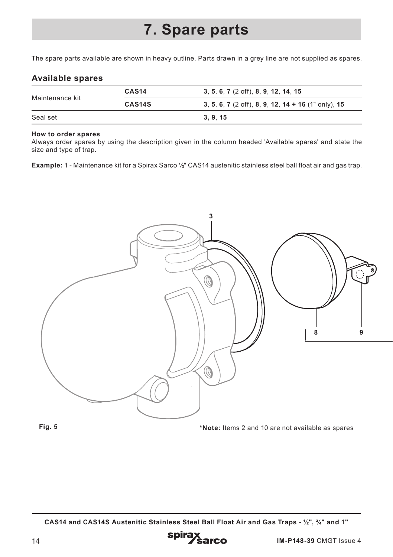## **7. Spare parts**

The spare parts available are shown in heavy outline. Parts drawn in a grey line are not supplied as spares.

#### **Available spares**

| Maintenance kit | CAS <sub>14</sub>   | 3, 5, 6, 7 (2 off), 8, 9, 12, 14, 15                |
|-----------------|---------------------|-----------------------------------------------------|
|                 | CAS <sub>14</sub> S | 3, 5, 6, 7 (2 off), 8, 9, 12, 14 + 16 (1" only), 15 |
| Seal set        |                     | 3.9.15                                              |

#### **How to order spares**

Always order spares by using the description given in the column headed 'Available spares' and state the size and type of trap.

**Example:** 1 - Maintenance kit for a Spirax Sarco **½**" CAS14 austenitic stainless steel ball float air and gas trap.



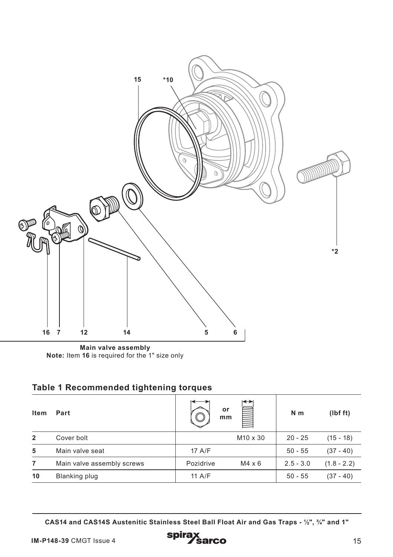

**Main valve assembly Note:** Item **16** is required for the 1" size only

|  | Table 1 Recommended tightening torques |  |  |
|--|----------------------------------------|--|--|
|--|----------------------------------------|--|--|

| Item           | Part                       | or<br>mm  | ↞                    | N <sub>m</sub> | (lbf ft)      |
|----------------|----------------------------|-----------|----------------------|----------------|---------------|
| $\overline{2}$ | Cover bolt                 |           | M <sub>10</sub> x 30 | $20 - 25$      | $(15 - 18)$   |
| 5              | Main valve seat            | 17 A/F    |                      | $50 - 55$      | $(37 - 40)$   |
| $\overline{7}$ | Main valve assembly screws | Pozidrive | $M4 \times 6$        | $2.5 - 3.0$    | $(1.8 - 2.2)$ |
| 10             | <b>Blanking plug</b>       | $11$ A/F  |                      | $50 - 55$      | $(37 - 40)$   |